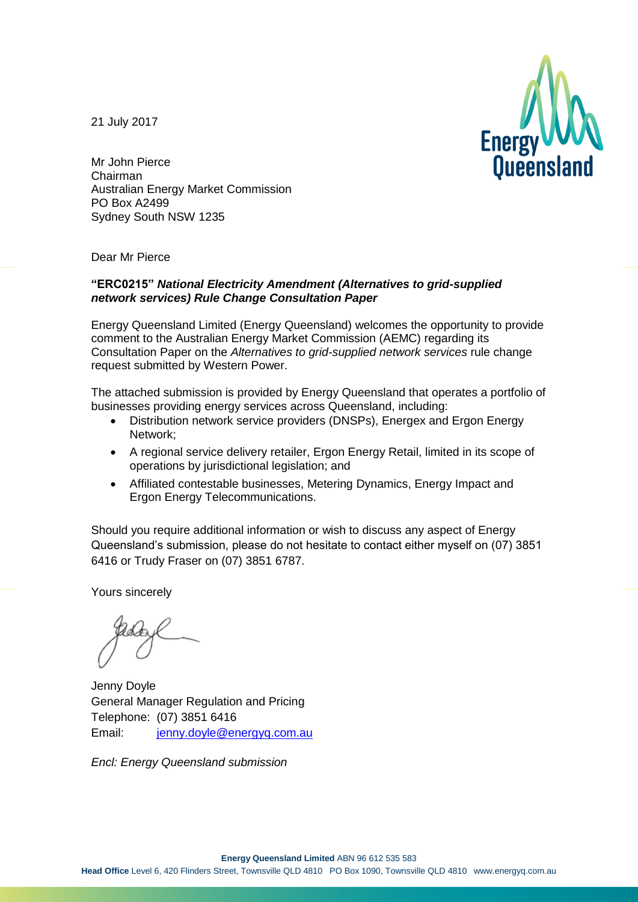21 July 2017



Mr John Pierce Chairman Australian Energy Market Commission PO Box A2499 Sydney South NSW 1235

Dear Mr Pierce

#### **"ERC0215"** *National Electricity Amendment (Alternatives to grid-supplied network services) Rule Change Consultation Paper*

Energy Queensland Limited (Energy Queensland) welcomes the opportunity to provide comment to the Australian Energy Market Commission (AEMC) regarding its Consultation Paper on the *Alternatives to grid-supplied network services* rule change request submitted by Western Power.

The attached submission is provided by Energy Queensland that operates a portfolio of businesses providing energy services across Queensland, including:

- Distribution network service providers (DNSPs), Energex and Ergon Energy Network;
- A regional service delivery retailer, Ergon Energy Retail, limited in its scope of operations by jurisdictional legislation; and
- Affiliated contestable businesses, Metering Dynamics, Energy Impact and Ergon Energy Telecommunications.

Should you require additional information or wish to discuss any aspect of Energy Queensland's submission, please do not hesitate to contact either myself on (07) 3851 6416 or Trudy Fraser on (07) 3851 6787.

Yours sincerely

Jenny Doyle General Manager Regulation and Pricing Telephone: (07) 3851 6416 Email: [jenny.doyle@energyq.com.au](mailto:jenny.doyle@energyq.com.au)

*Encl: Energy Queensland submission*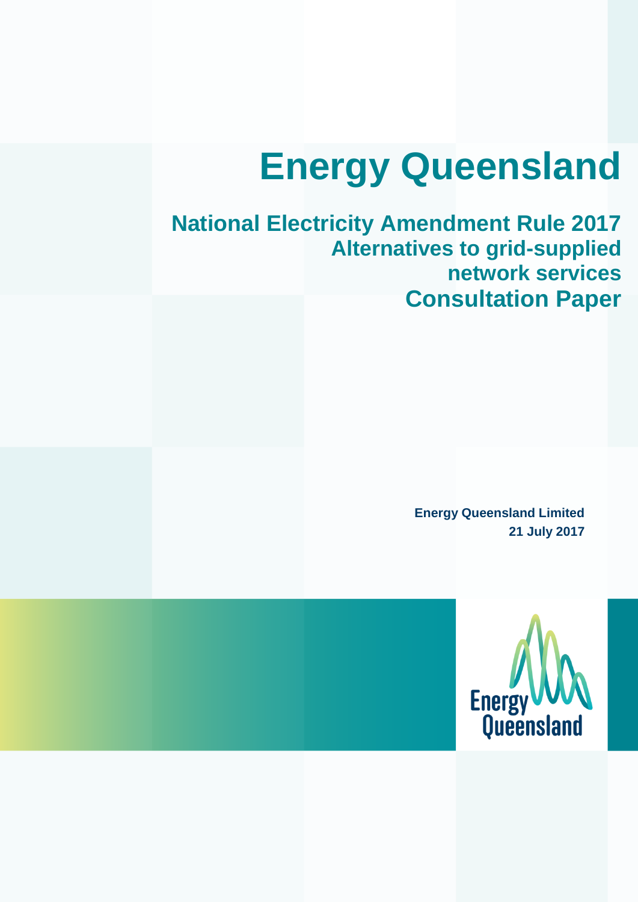# **Energy Queensland**

### **National Electricity Amendment Rule 2017 Alternatives to grid-supplied network services Consultation Paper**

**Energy Queensland Limited 21 July 2017**

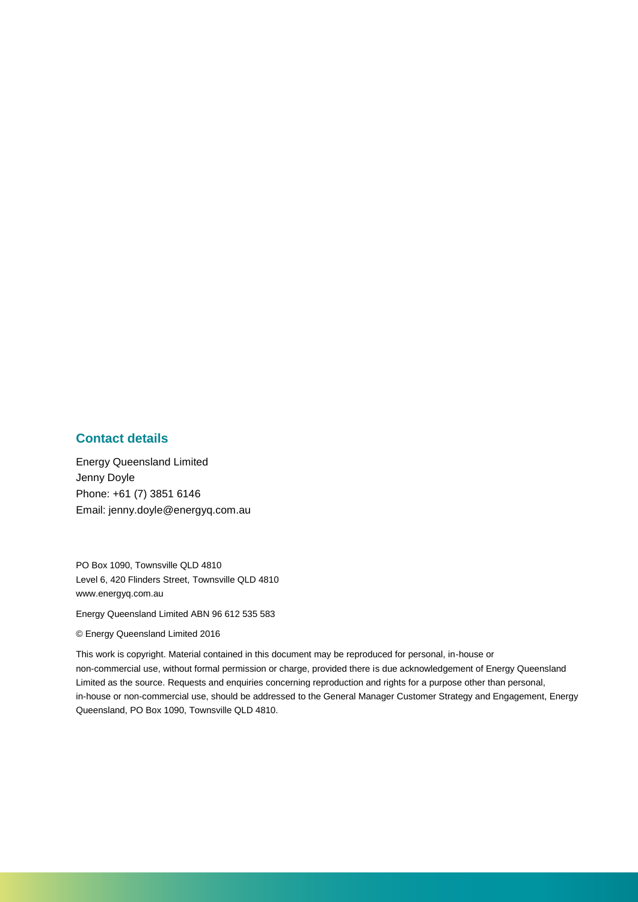#### **Contact details**

Energy Queensland Limited Jenny Doyle Phone: +61 (7) 3851 6146 Email: jenny.doyle@energyq.com.au

PO Box 1090, Townsville QLD 4810 Level 6, 420 Flinders Street, Townsville QLD 4810 www.energyq.com.au

Energy Queensland Limited ABN 96 612 535 583

#### © Energy Queensland Limited 2016

This work is copyright. Material contained in this document may be reproduced for personal, in-house or non-commercial use, without formal permission or charge, provided there is due acknowledgement of Energy Queensland Limited as the source. Requests and enquiries concerning reproduction and rights for a purpose other than personal, in-house or non-commercial use, should be addressed to the General Manager Customer Strategy and Engagement, Energy Queensland, PO Box 1090, Townsville QLD 4810.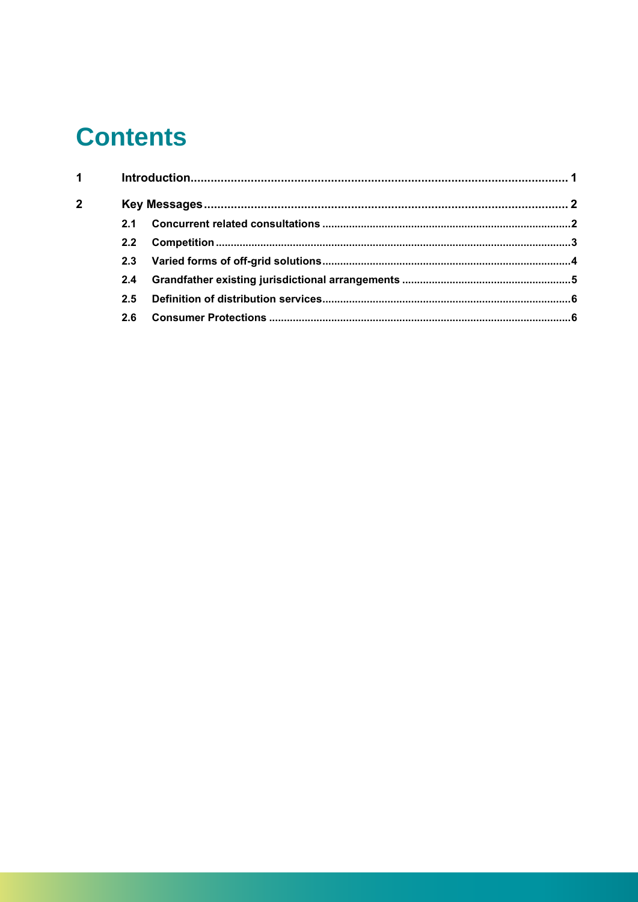### **Contents**

| $\mathbf 1$  |  |  |  |
|--------------|--|--|--|
| $\mathbf{2}$ |  |  |  |
|              |  |  |  |
|              |  |  |  |
|              |  |  |  |
|              |  |  |  |
|              |  |  |  |
|              |  |  |  |
|              |  |  |  |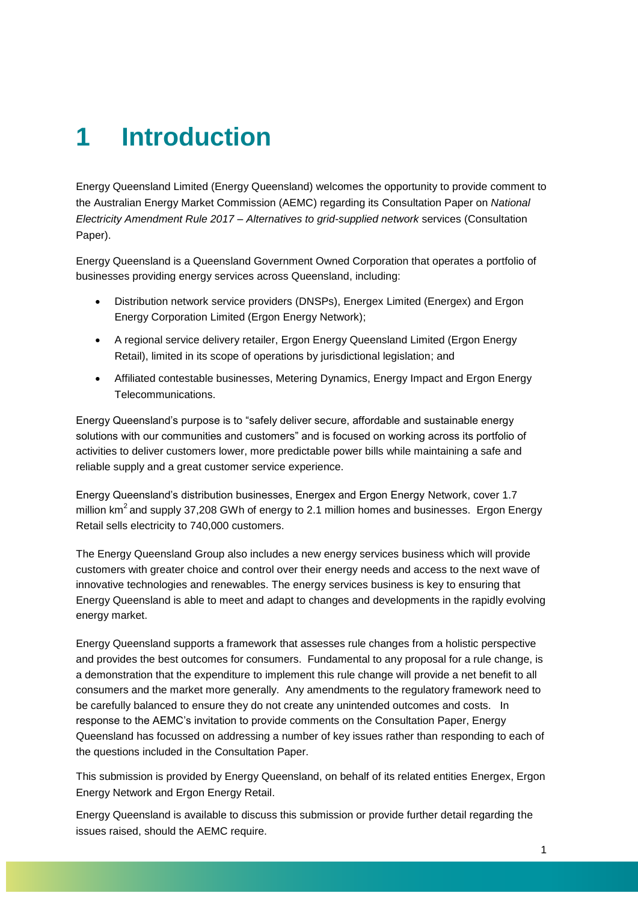### <span id="page-4-0"></span>**1 Introduction**

Energy Queensland Limited (Energy Queensland) welcomes the opportunity to provide comment to the Australian Energy Market Commission (AEMC) regarding its Consultation Paper on *National Electricity Amendment Rule 2017 – Alternatives to grid-supplied network* services (Consultation Paper).

Energy Queensland is a Queensland Government Owned Corporation that operates a portfolio of businesses providing energy services across Queensland, including:

- Distribution network service providers (DNSPs), Energex Limited (Energex) and Ergon Energy Corporation Limited (Ergon Energy Network);
- A regional service delivery retailer, Ergon Energy Queensland Limited (Ergon Energy Retail), limited in its scope of operations by jurisdictional legislation; and
- Affiliated contestable businesses, Metering Dynamics, Energy Impact and Ergon Energy Telecommunications.

Energy Queensland's purpose is to "safely deliver secure, affordable and sustainable energy solutions with our communities and customers" and is focused on working across its portfolio of activities to deliver customers lower, more predictable power bills while maintaining a safe and reliable supply and a great customer service experience.

Energy Queensland's distribution businesses, Energex and Ergon Energy Network, cover 1.7 million  $km^2$  and supply 37,208 GWh of energy to 2.1 million homes and businesses. Ergon Energy Retail sells electricity to 740,000 customers.

The Energy Queensland Group also includes a new energy services business which will provide customers with greater choice and control over their energy needs and access to the next wave of innovative technologies and renewables. The energy services business is key to ensuring that Energy Queensland is able to meet and adapt to changes and developments in the rapidly evolving energy market.

Energy Queensland supports a framework that assesses rule changes from a holistic perspective and provides the best outcomes for consumers. Fundamental to any proposal for a rule change, is a demonstration that the expenditure to implement this rule change will provide a net benefit to all consumers and the market more generally. Any amendments to the regulatory framework need to be carefully balanced to ensure they do not create any unintended outcomes and costs. In response to the AEMC's invitation to provide comments on the Consultation Paper, Energy Queensland has focussed on addressing a number of key issues rather than responding to each of the questions included in the Consultation Paper.

This submission is provided by Energy Queensland, on behalf of its related entities Energex, Ergon Energy Network and Ergon Energy Retail.

Energy Queensland is available to discuss this submission or provide further detail regarding the issues raised, should the AEMC require.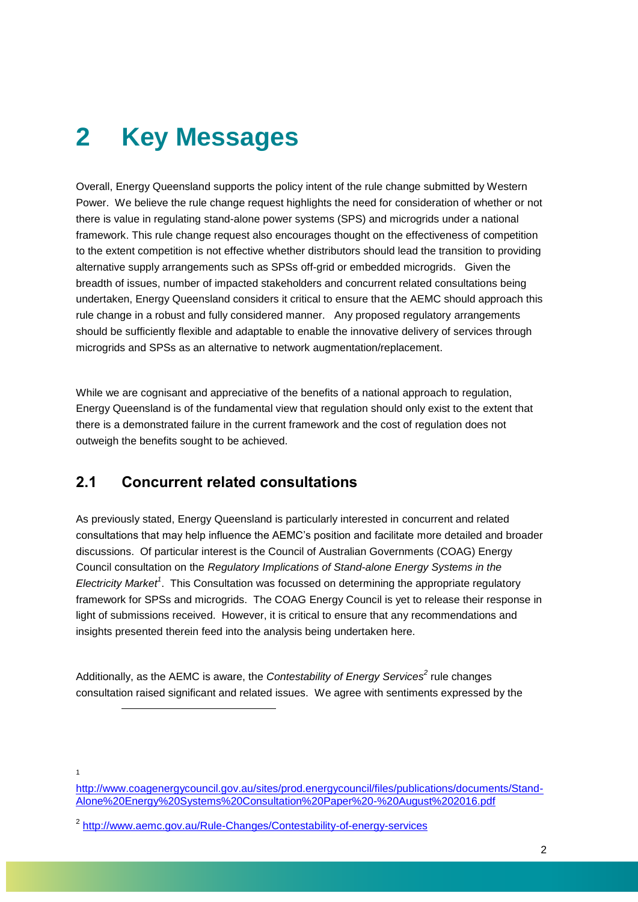## <span id="page-5-0"></span>**2 Key Messages**

Overall, Energy Queensland supports the policy intent of the rule change submitted by Western Power. We believe the rule change request highlights the need for consideration of whether or not there is value in regulating stand-alone power systems (SPS) and microgrids under a national framework. This rule change request also encourages thought on the effectiveness of competition to the extent competition is not effective whether distributors should lead the transition to providing alternative supply arrangements such as SPSs off-grid or embedded microgrids. Given the breadth of issues, number of impacted stakeholders and concurrent related consultations being undertaken, Energy Queensland considers it critical to ensure that the AEMC should approach this rule change in a robust and fully considered manner. Any proposed regulatory arrangements should be sufficiently flexible and adaptable to enable the innovative delivery of services through microgrids and SPSs as an alternative to network augmentation/replacement.

While we are cognisant and appreciative of the benefits of a national approach to regulation, Energy Queensland is of the fundamental view that regulation should only exist to the extent that there is a demonstrated failure in the current framework and the cost of regulation does not outweigh the benefits sought to be achieved.

### <span id="page-5-1"></span>**2.1 Concurrent related consultations**

As previously stated, Energy Queensland is particularly interested in concurrent and related consultations that may help influence the AEMC's position and facilitate more detailed and broader discussions. Of particular interest is the Council of Australian Governments (COAG) Energy Council consultation on the *Regulatory Implications of Stand-alone Energy Systems in the Electricity Market<sup>1</sup>* . This Consultation was focussed on determining the appropriate regulatory framework for SPSs and microgrids. The COAG Energy Council is yet to release their response in light of submissions received. However, it is critical to ensure that any recommendations and insights presented therein feed into the analysis being undertaken here.

Additionally, as the AEMC is aware, the *Contestability of Energy Services<sup>2</sup>* rule changes consultation raised significant and related issues. We agree with sentiments expressed by the

1

l

[http://www.coagenergycouncil.gov.au/sites/prod.energycouncil/files/publications/documents/Stand-](http://www.coagenergycouncil.gov.au/sites/prod.energycouncil/files/publications/documents/Stand-Alone%20Energy%20Systems%20Consultation%20Paper%20-%20August%202016.pdf)[Alone%20Energy%20Systems%20Consultation%20Paper%20-%20August%202016.pdf](http://www.coagenergycouncil.gov.au/sites/prod.energycouncil/files/publications/documents/Stand-Alone%20Energy%20Systems%20Consultation%20Paper%20-%20August%202016.pdf)

<sup>&</sup>lt;sup>2</sup> <http://www.aemc.gov.au/Rule-Changes/Contestability-of-energy-services>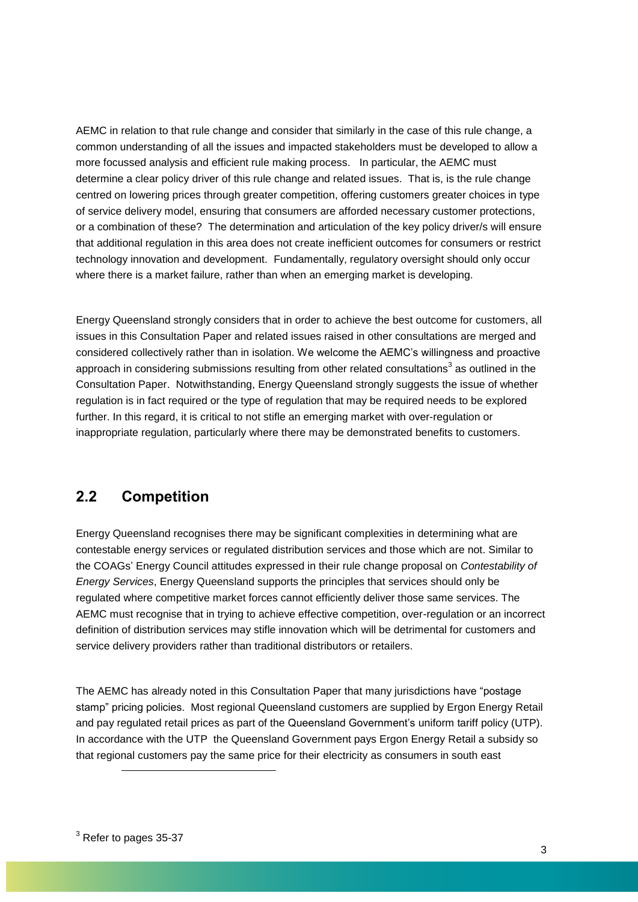AEMC in relation to that rule change and consider that similarly in the case of this rule change, a common understanding of all the issues and impacted stakeholders must be developed to allow a more focussed analysis and efficient rule making process. In particular, the AEMC must determine a clear policy driver of this rule change and related issues. That is, is the rule change centred on lowering prices through greater competition, offering customers greater choices in type of service delivery model, ensuring that consumers are afforded necessary customer protections, or a combination of these? The determination and articulation of the key policy driver/s will ensure that additional regulation in this area does not create inefficient outcomes for consumers or restrict technology innovation and development. Fundamentally, regulatory oversight should only occur where there is a market failure, rather than when an emerging market is developing.

Energy Queensland strongly considers that in order to achieve the best outcome for customers, all issues in this Consultation Paper and related issues raised in other consultations are merged and considered collectively rather than in isolation. We welcome the AEMC's willingness and proactive approach in considering submissions resulting from other related consultations<sup>3</sup> as outlined in the Consultation Paper. Notwithstanding, Energy Queensland strongly suggests the issue of whether regulation is in fact required or the type of regulation that may be required needs to be explored further. In this regard, it is critical to not stifle an emerging market with over-regulation or inappropriate regulation, particularly where there may be demonstrated benefits to customers.

### <span id="page-6-0"></span>**2.2 Competition**

Energy Queensland recognises there may be significant complexities in determining what are contestable energy services or regulated distribution services and those which are not. Similar to the COAGs' Energy Council attitudes expressed in their rule change proposal on *Contestability of Energy Services*, Energy Queensland supports the principles that services should only be regulated where competitive market forces cannot efficiently deliver those same services. The AEMC must recognise that in trying to achieve effective competition, over-regulation or an incorrect definition of distribution services may stifle innovation which will be detrimental for customers and service delivery providers rather than traditional distributors or retailers.

The AEMC has already noted in this Consultation Paper that many jurisdictions have "postage stamp" pricing policies. Most regional Queensland customers are supplied by Ergon Energy Retail and pay [regulated retail prices](http://www.qca.org.au/Electricity/Regional-consumers/Reg-Electricity-Prices) as part of the Queensland Government's uniform tariff policy (UTP). In accordance with the UTP the Queensland Government pays Ergon Energy Retail a subsidy so that regional customers pay the same price for their electricity as consumers in south east

l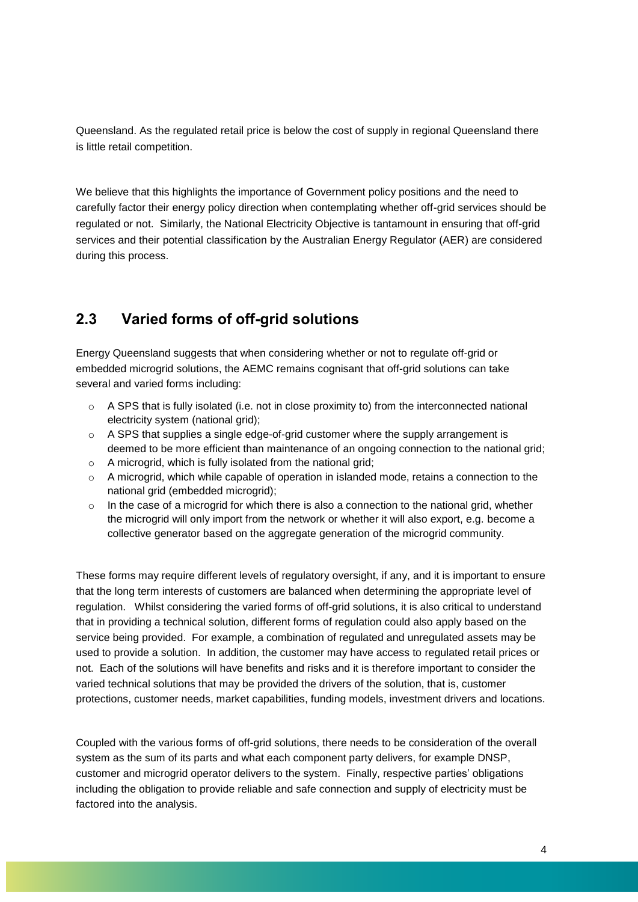Queensland. As the regulated retail price is below the cost of supply in regional Queensland there is little retail competition.

We believe that this highlights the importance of Government policy positions and the need to carefully factor their energy policy direction when contemplating whether off-grid services should be regulated or not. Similarly, the National Electricity Objective is tantamount in ensuring that off-grid services and their potential classification by the Australian Energy Regulator (AER) are considered during this process.

### <span id="page-7-0"></span>**2.3 Varied forms of off-grid solutions**

Energy Queensland suggests that when considering whether or not to regulate off-grid or embedded microgrid solutions, the AEMC remains cognisant that off-grid solutions can take several and varied forms including:

- $\circ$  A SPS that is fully isolated (i.e. not in close proximity to) from the interconnected national electricity system (national grid);
- o A SPS that supplies a single edge-of-grid customer where the supply arrangement is deemed to be more efficient than maintenance of an ongoing connection to the national grid;
- $\circ$  A microgrid, which is fully isolated from the national grid;
- o A microgrid, which while capable of operation in islanded mode, retains a connection to the national grid (embedded microgrid);
- $\circ$  In the case of a microgrid for which there is also a connection to the national grid, whether the microgrid will only import from the network or whether it will also export, e.g. become a collective generator based on the aggregate generation of the microgrid community.

These forms may require different levels of regulatory oversight, if any, and it is important to ensure that the long term interests of customers are balanced when determining the appropriate level of regulation. Whilst considering the varied forms of off-grid solutions, it is also critical to understand that in providing a technical solution, different forms of regulation could also apply based on the service being provided. For example, a combination of regulated and unregulated assets may be used to provide a solution. In addition, the customer may have access to regulated retail prices or not. Each of the solutions will have benefits and risks and it is therefore important to consider the varied technical solutions that may be provided the drivers of the solution, that is, customer protections, customer needs, market capabilities, funding models, investment drivers and locations.

Coupled with the various forms of off-grid solutions, there needs to be consideration of the overall system as the sum of its parts and what each component party delivers, for example DNSP, customer and microgrid operator delivers to the system. Finally, respective parties' obligations including the obligation to provide reliable and safe connection and supply of electricity must be factored into the analysis.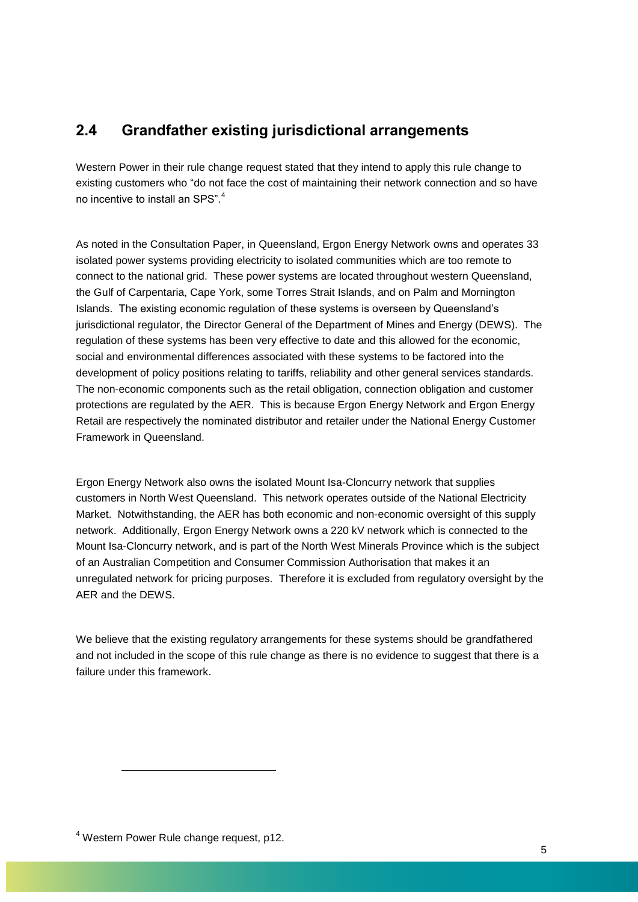### <span id="page-8-0"></span>**2.4 Grandfather existing jurisdictional arrangements**

Western Power in their rule change request stated that they intend to apply this rule change to existing customers who "do not face the cost of maintaining their network connection and so have no incentive to install an SPS".<sup>4</sup>

As noted in the Consultation Paper, in Queensland, Ergon Energy Network owns and operates 33 isolated power systems providing electricity to isolated communities which are too remote to connect to the national grid. These power systems are located throughout western Queensland, the Gulf of Carpentaria, Cape York, some Torres Strait Islands, and on Palm and Mornington Islands. The existing economic regulation of these systems is overseen by Queensland's jurisdictional regulator, the Director General of the Department of Mines and Energy (DEWS). The regulation of these systems has been very effective to date and this allowed for the economic, social and environmental differences associated with these systems to be factored into the development of policy positions relating to tariffs, reliability and other general services standards. The non-economic components such as the retail obligation, connection obligation and customer protections are regulated by the AER. This is because Ergon Energy Network and Ergon Energy Retail are respectively the nominated distributor and retailer under the National Energy Customer Framework in Queensland.

Ergon Energy Network also owns the isolated Mount Isa-Cloncurry network that supplies customers in North West Queensland. This network operates outside of the National Electricity Market. Notwithstanding, the AER has both economic and non-economic oversight of this supply network. Additionally, Ergon Energy Network owns a 220 kV network which is connected to the Mount Isa-Cloncurry network, and is part of the North West Minerals Province which is the subject of an Australian Competition and Consumer Commission Authorisation that makes it an unregulated network for pricing purposes. Therefore it is excluded from regulatory oversight by the AER and the DEWS.

We believe that the existing regulatory arrangements for these systems should be grandfathered and not included in the scope of this rule change as there is no evidence to suggest that there is a failure under this framework.

<sup>4</sup> Western Power Rule change request, p12.

l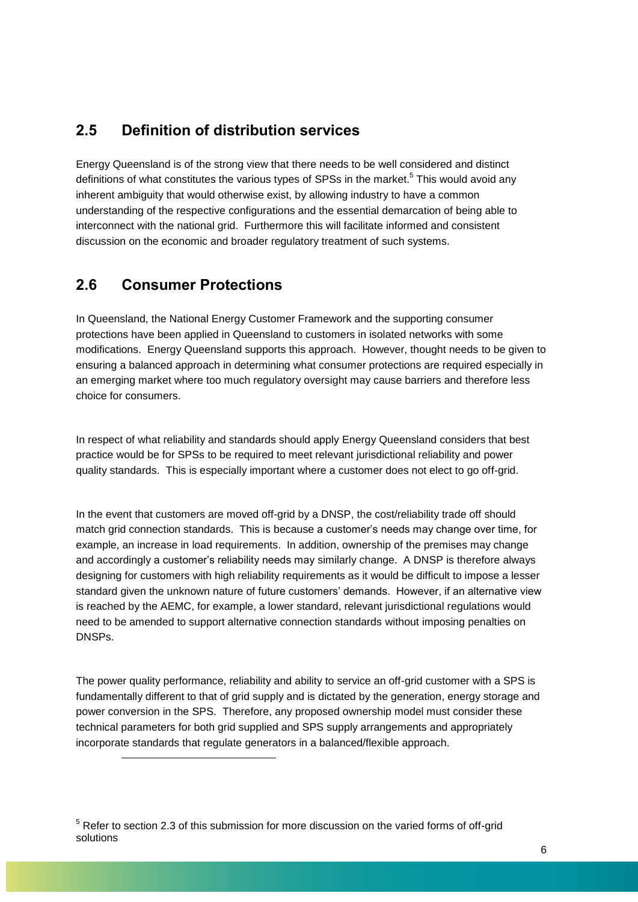### <span id="page-9-0"></span>**2.5 Definition of distribution services**

Energy Queensland is of the strong view that there needs to be well considered and distinct definitions of what constitutes the various types of SPSs in the market.<sup>5</sup> This would avoid any inherent ambiguity that would otherwise exist, by allowing industry to have a common understanding of the respective configurations and the essential demarcation of being able to interconnect with the national grid. Furthermore this will facilitate informed and consistent discussion on the economic and broader regulatory treatment of such systems.

### <span id="page-9-1"></span>**2.6 Consumer Protections**

l

In Queensland, the National Energy Customer Framework and the supporting consumer protections have been applied in Queensland to customers in isolated networks with some modifications. Energy Queensland supports this approach. However, thought needs to be given to ensuring a balanced approach in determining what consumer protections are required especially in an emerging market where too much regulatory oversight may cause barriers and therefore less choice for consumers.

In respect of what reliability and standards should apply Energy Queensland considers that best practice would be for SPSs to be required to meet relevant jurisdictional reliability and power quality standards. This is especially important where a customer does not elect to go off-grid.

In the event that customers are moved off-grid by a DNSP, the cost/reliability trade off should match grid connection standards. This is because a customer's needs may change over time, for example, an increase in load requirements. In addition, ownership of the premises may change and accordingly a customer's reliability needs may similarly change. A DNSP is therefore always designing for customers with high reliability requirements as it would be difficult to impose a lesser standard given the unknown nature of future customers' demands. However, if an alternative view is reached by the AEMC, for example, a lower standard, relevant jurisdictional regulations would need to be amended to support alternative connection standards without imposing penalties on DNSPs.

The power quality performance, reliability and ability to service an off-grid customer with a SPS is fundamentally different to that of grid supply and is dictated by the generation, energy storage and power conversion in the SPS. Therefore, any proposed ownership model must consider these technical parameters for both grid supplied and SPS supply arrangements and appropriately incorporate standards that regulate generators in a balanced/flexible approach.

<sup>&</sup>lt;sup>5</sup> Refer to section 2.3 of this submission for more discussion on the varied forms of off-grid solutions